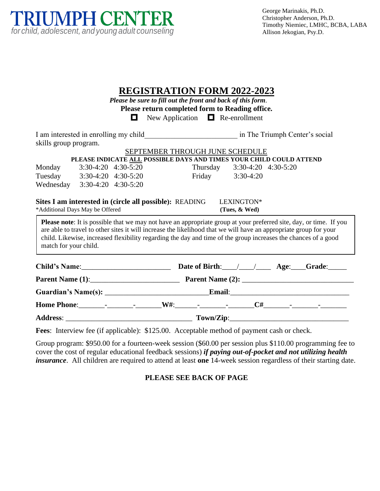

| <b>REGISTRATION FORM 2022-2023</b><br>Please be sure to fill out the front and back of this form.<br>Please return completed form to Reading office.<br>$\Box$ New Application $\Box$ Re-enrollment                                                                                                                                                                                                                                                                                                                    |                     |  |  |  |  |                                                                                                        |  |  |  |
|------------------------------------------------------------------------------------------------------------------------------------------------------------------------------------------------------------------------------------------------------------------------------------------------------------------------------------------------------------------------------------------------------------------------------------------------------------------------------------------------------------------------|---------------------|--|--|--|--|--------------------------------------------------------------------------------------------------------|--|--|--|
|                                                                                                                                                                                                                                                                                                                                                                                                                                                                                                                        |                     |  |  |  |  |                                                                                                        |  |  |  |
| skills group program.                                                                                                                                                                                                                                                                                                                                                                                                                                                                                                  |                     |  |  |  |  |                                                                                                        |  |  |  |
|                                                                                                                                                                                                                                                                                                                                                                                                                                                                                                                        |                     |  |  |  |  | SEPTEMBER THROUGH JUNE SCHEDULE<br>PLEASE INDICATE ALL POSSIBLE DAYS AND TIMES YOUR CHILD COULD ATTEND |  |  |  |
| Monday                                                                                                                                                                                                                                                                                                                                                                                                                                                                                                                 | 3:30-4:20 4:30-5:20 |  |  |  |  | Thursday 3:30-4:20 4:30-5:20                                                                           |  |  |  |
| Tuesday 3:30-4:20 4:30-5:20                                                                                                                                                                                                                                                                                                                                                                                                                                                                                            |                     |  |  |  |  | Friday 3:30-4:20                                                                                       |  |  |  |
| Wednesday 3:30-4:20 4:30-5:20                                                                                                                                                                                                                                                                                                                                                                                                                                                                                          |                     |  |  |  |  |                                                                                                        |  |  |  |
| Sites I am interested in (circle all possible): READING<br>LEXINGTON*<br>*Additional Days May be Offered<br>(Tues, & Wed)<br><b>Please note:</b> It is possible that we may not have an appropriate group at your preferred site, day, or time. If you<br>are able to travel to other sites it will increase the likelihood that we will have an appropriate group for your<br>child. Likewise, increased flexibility regarding the day and time of the group increases the chances of a good<br>match for your child. |                     |  |  |  |  |                                                                                                        |  |  |  |
|                                                                                                                                                                                                                                                                                                                                                                                                                                                                                                                        |                     |  |  |  |  |                                                                                                        |  |  |  |
| Parent Name (1): 2008 Parent Name (2): 2008 Parent Name (2): 2008 Parent Name (2): 2008 Parent Name (2): 2008                                                                                                                                                                                                                                                                                                                                                                                                          |                     |  |  |  |  |                                                                                                        |  |  |  |
|                                                                                                                                                                                                                                                                                                                                                                                                                                                                                                                        |                     |  |  |  |  |                                                                                                        |  |  |  |
|                                                                                                                                                                                                                                                                                                                                                                                                                                                                                                                        |                     |  |  |  |  |                                                                                                        |  |  |  |
|                                                                                                                                                                                                                                                                                                                                                                                                                                                                                                                        |                     |  |  |  |  |                                                                                                        |  |  |  |
| Fees: Interview fee (if applicable): \$125.00. Acceptable method of payment cash or check.                                                                                                                                                                                                                                                                                                                                                                                                                             |                     |  |  |  |  |                                                                                                        |  |  |  |
| Group program: \$950.00 for a fourteen-week session (\$60.00 per session plus \$110.00 programming fee to                                                                                                                                                                                                                                                                                                                                                                                                              |                     |  |  |  |  |                                                                                                        |  |  |  |

Group program: \$950.00 for a fourteen-week session (\$60.00 per session plus \$110.00 programming fee to cover the cost of regular educational feedback sessions) *if paying out-of-pocket and not utilizing health insurance*. All children are required to attend at least **one** 14-week session regardless of their starting date.

**PLEASE SEE BACK OF PAGE**